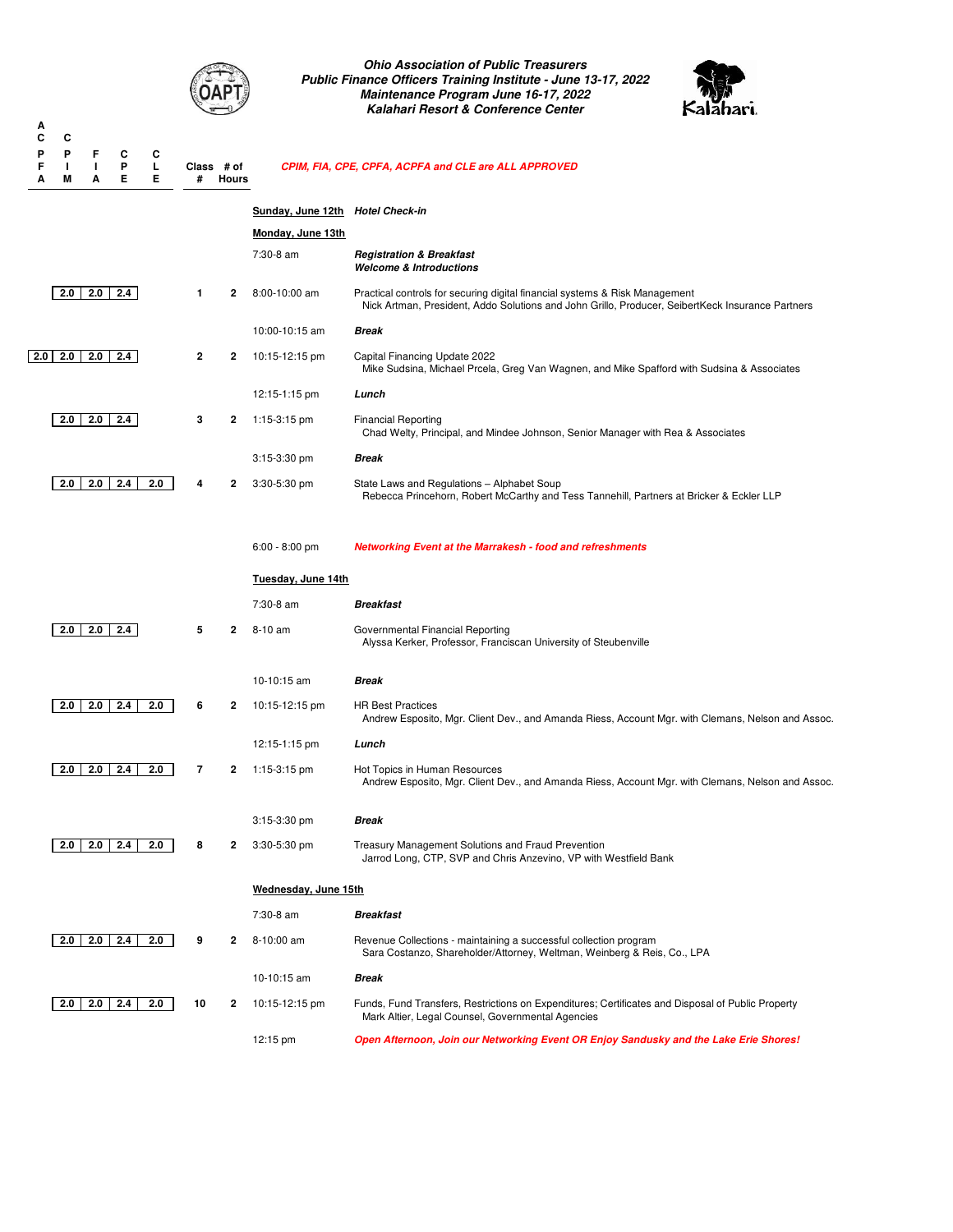

*Ohio Association of Public Treasurers Public Finance Officers Training Institute - June 13-17, 2022 Maintenance Program June 16-17, 2022 Kalahari Resort & Conference Center*



| А<br>c<br>P<br>F | С<br>P<br>I. | F<br>ı. | С<br>P | С<br>L | Class # of |       |                                  | CPIM, FIA, CPE, CPFA, ACPFA and CLE are ALL APPROVED                                                                                                                            |
|------------------|--------------|---------|--------|--------|------------|-------|----------------------------------|---------------------------------------------------------------------------------------------------------------------------------------------------------------------------------|
| Α                | Μ            | А       | Е      | Е      | #          | Hours |                                  |                                                                                                                                                                                 |
|                  |              |         |        |        |            |       | Sunday, June 12th Hotel Check-in |                                                                                                                                                                                 |
|                  |              |         |        |        |            |       | Monday, June 13th                |                                                                                                                                                                                 |
|                  |              |         |        |        |            |       | 7:30-8 am                        | <b>Registration &amp; Breakfast</b><br><b>Welcome &amp; Introductions</b>                                                                                                       |
|                  | 2.0          | 2.0     | 2.4    |        | 1          | 2     | 8:00-10:00 am                    | Practical controls for securing digital financial systems & Risk Management<br>Nick Artman, President, Addo Solutions and John Grillo, Producer, SeibertKeck Insurance Partners |
|                  |              |         |        |        |            |       | 10:00-10:15 am                   | <b>Break</b>                                                                                                                                                                    |
| 2.0              | 2.0          | 2.0     | 2.4    |        | 2          | 2     | 10:15-12:15 pm                   | Capital Financing Update 2022<br>Mike Sudsina, Michael Prcela, Greg Van Wagnen, and Mike Spafford with Sudsina & Associates                                                     |
|                  |              |         |        |        |            |       | 12:15-1:15 pm                    | Lunch                                                                                                                                                                           |
|                  | 2.0          | 2.0     | 2.4    |        | 3          | 2     | 1:15-3:15 pm                     | <b>Financial Reporting</b><br>Chad Welty, Principal, and Mindee Johnson, Senior Manager with Rea & Associates                                                                   |
|                  |              |         |        |        |            |       | 3:15-3:30 pm                     | <b>Break</b>                                                                                                                                                                    |
|                  | 2.0          | 2.0     | 2.4    | 2.0    | 4          | 2     | 3:30-5:30 pm                     | State Laws and Regulations - Alphabet Soup<br>Rebecca Princehorn, Robert McCarthy and Tess Tannehill, Partners at Bricker & Eckler LLP                                          |
|                  |              |         |        |        |            |       | $6:00 - 8:00$ pm                 | <b>Networking Event at the Marrakesh - food and refreshments</b>                                                                                                                |
|                  |              |         |        |        |            |       |                                  |                                                                                                                                                                                 |
|                  |              |         |        |        |            |       | Tuesday, June 14th               |                                                                                                                                                                                 |
|                  |              |         |        |        |            |       | 7:30-8 am                        | <b>Breakfast</b>                                                                                                                                                                |
|                  | 2.0          | 2.0     | 2.4    |        | 5          | 2     | 8-10 am                          | Governmental Financial Reporting<br>Alyssa Kerker, Professor, Franciscan University of Steubenville                                                                             |
|                  |              |         |        |        |            |       | 10-10:15 am                      | <b>Break</b>                                                                                                                                                                    |
|                  | 2.0          | 2.0     | 2.4    | 2.0    | 6          | 2     | 10:15-12:15 pm                   | <b>HR Best Practices</b><br>Andrew Esposito, Mgr. Client Dev., and Amanda Riess, Account Mgr. with Clemans, Nelson and Assoc.                                                   |
|                  |              |         |        |        |            |       | 12:15-1:15 pm                    | Lunch                                                                                                                                                                           |
|                  | 2.0          | 2.0     | 2.4    | 2.0    | 7          | 2     | 1:15-3:15 pm                     | Hot Topics in Human Resources<br>Andrew Esposito, Mgr. Client Dev., and Amanda Riess, Account Mgr. with Clemans, Nelson and Assoc.                                              |
|                  |              |         |        |        |            |       | $3:15-3:30$ pm                   | Break                                                                                                                                                                           |
|                  | 2.0          | 2.0     | 2.4    | 2.0    | 8          | 2     | $3:30-5:30$ pm                   | <b>Treasury Management Solutions and Fraud Prevention</b><br>Jarrod Long, CTP, SVP and Chris Anzevino, VP with Westfield Bank                                                   |
|                  |              |         |        |        |            |       | Wednesday, June 15th             |                                                                                                                                                                                 |
|                  |              |         |        |        |            |       | 7:30-8 am                        | <b>Breakfast</b>                                                                                                                                                                |
|                  | 2.0          | 2.0     | 2.4    | 2.0    | 9          | 2     | 8-10:00 am                       | Revenue Collections - maintaining a successful collection program<br>Sara Costanzo, Shareholder/Attorney, Weltman, Weinberg & Reis, Co., LPA                                    |
|                  |              |         |        |        |            |       | 10-10:15 am                      | <b>Break</b>                                                                                                                                                                    |
|                  | 2.0          | 2.0     | 2.4    | 2.0    | 10         | 2     | 10:15-12:15 pm                   | Funds, Fund Transfers, Restrictions on Expenditures; Certificates and Disposal of Public Property<br>Mark Altier, Legal Counsel, Governmental Agencies                          |
|                  |              |         |        |        |            |       | 12:15 pm                         | Open Afternoon, Join our Networking Event OR Enjoy Sandusky and the Lake Erie Shores!                                                                                           |